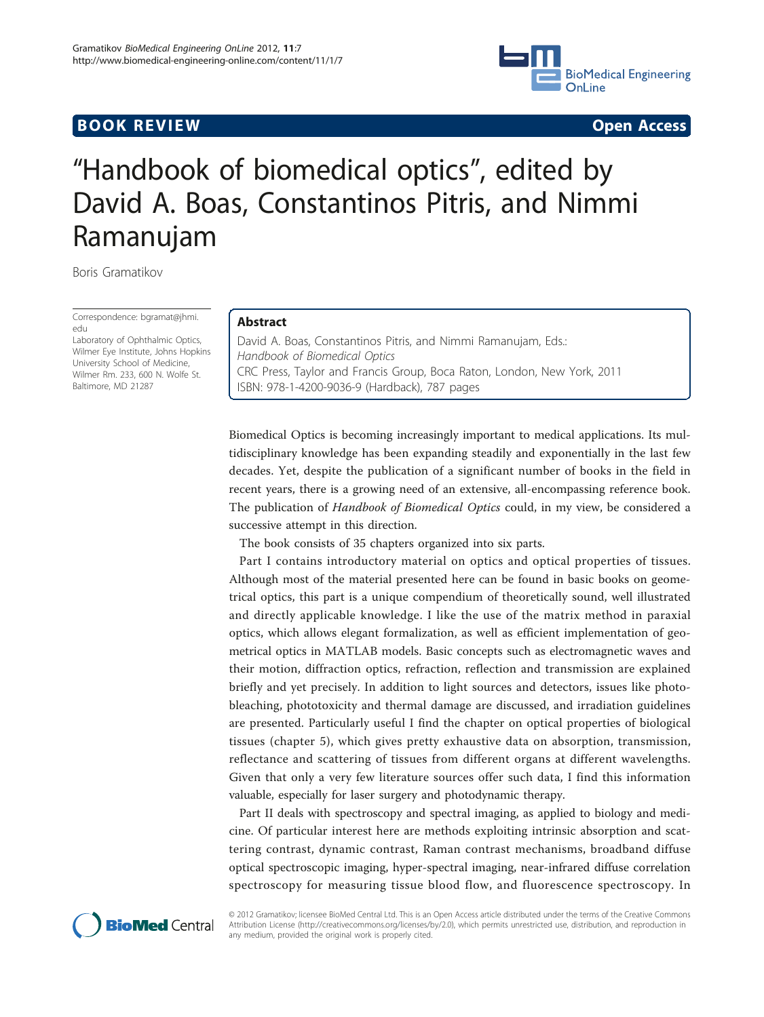## **BOOK REVIEW CONTROL** CONTROL CONTROL CONTROL CONTROL CONTROL CONTROL CONTROL CONTROL CONTROL CONTROL CONTROL CONTROL CONTROL CONTROL CONTROL CONTROL CONTROL CONTROL CONTROL CONTROL CONTROL CONTROL CONTROL CONTROL CONTROL



## "Handbook of biomedical optics", edited by David A. Boas, Constantinos Pitris, and Nimmi Ramanujam

Boris Gramatikov

Correspondence: [bgramat@jhmi.](mailto:bgramat@jhmi.edu) [edu](mailto:bgramat@jhmi.edu) Laboratory of Ophthalmic Optics, Wilmer Eye Institute, Johns Hopkins

University School of Medicine, Wilmer Rm. 233, 600 N. Wolfe St. Baltimore, MD 21287

## Abstract

David A. Boas, Constantinos Pitris, and Nimmi Ramanujam, Eds.: Handbook of Biomedical Optics CRC Press, Taylor and Francis Group, Boca Raton, London, New York, 2011 ISBN: 978-1-4200-9036-9 (Hardback), 787 pages

Biomedical Optics is becoming increasingly important to medical applications. Its multidisciplinary knowledge has been expanding steadily and exponentially in the last few decades. Yet, despite the publication of a significant number of books in the field in recent years, there is a growing need of an extensive, all-encompassing reference book. The publication of Handbook of Biomedical Optics could, in my view, be considered a successive attempt in this direction.

The book consists of 35 chapters organized into six parts.

Part I contains introductory material on optics and optical properties of tissues. Although most of the material presented here can be found in basic books on geometrical optics, this part is a unique compendium of theoretically sound, well illustrated and directly applicable knowledge. I like the use of the matrix method in paraxial optics, which allows elegant formalization, as well as efficient implementation of geometrical optics in MATLAB models. Basic concepts such as electromagnetic waves and their motion, diffraction optics, refraction, reflection and transmission are explained briefly and yet precisely. In addition to light sources and detectors, issues like photobleaching, phototoxicity and thermal damage are discussed, and irradiation guidelines are presented. Particularly useful I find the chapter on optical properties of biological tissues (chapter 5), which gives pretty exhaustive data on absorption, transmission, reflectance and scattering of tissues from different organs at different wavelengths. Given that only a very few literature sources offer such data, I find this information valuable, especially for laser surgery and photodynamic therapy.

Part II deals with spectroscopy and spectral imaging, as applied to biology and medicine. Of particular interest here are methods exploiting intrinsic absorption and scattering contrast, dynamic contrast, Raman contrast mechanisms, broadband diffuse optical spectroscopic imaging, hyper-spectral imaging, near-infrared diffuse correlation spectroscopy for measuring tissue blood flow, and fluorescence spectroscopy. In



© 2012 Gramatikov; licensee BioMed Central Ltd. This is an Open Access article distributed under the terms of the Creative Commons Attribution License [\(http://creativecommons.org/licenses/by/2.0](http://creativecommons.org/licenses/by/2.0)), which permits unrestricted use, distribution, and reproduction in any medium, provided the original work is properly cited.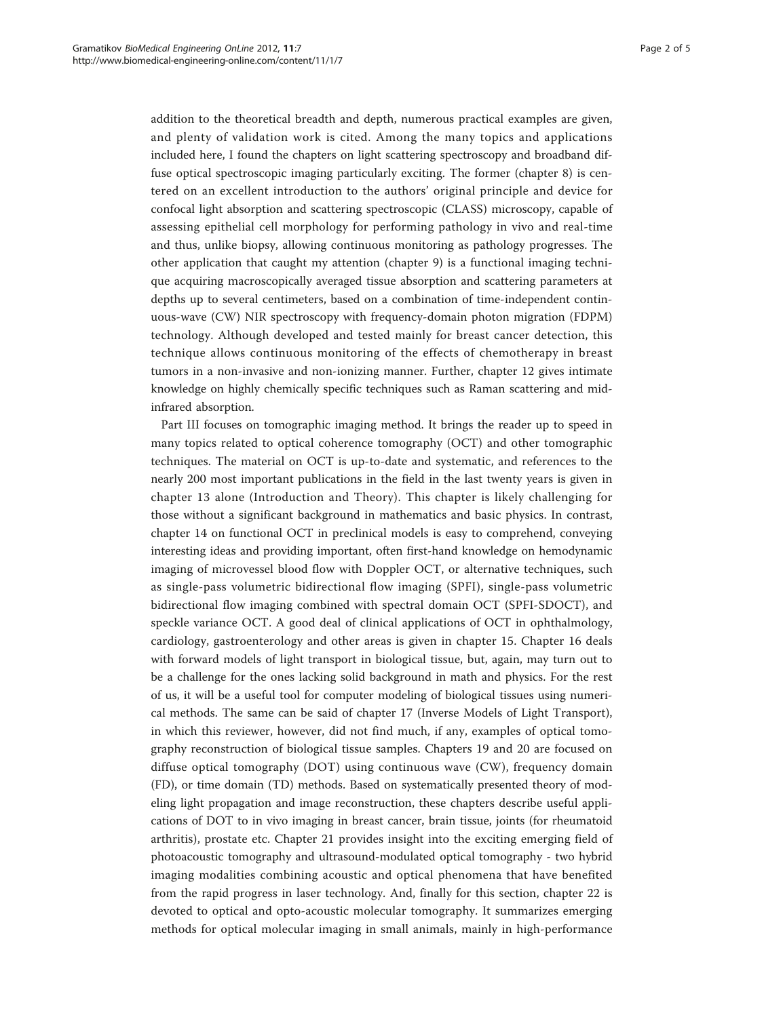addition to the theoretical breadth and depth, numerous practical examples are given, and plenty of validation work is cited. Among the many topics and applications included here, I found the chapters on light scattering spectroscopy and broadband diffuse optical spectroscopic imaging particularly exciting. The former (chapter 8) is centered on an excellent introduction to the authors' original principle and device for confocal light absorption and scattering spectroscopic (CLASS) microscopy, capable of assessing epithelial cell morphology for performing pathology in vivo and real-time and thus, unlike biopsy, allowing continuous monitoring as pathology progresses. The other application that caught my attention (chapter 9) is a functional imaging technique acquiring macroscopically averaged tissue absorption and scattering parameters at depths up to several centimeters, based on a combination of time-independent continuous-wave (CW) NIR spectroscopy with frequency-domain photon migration (FDPM) technology. Although developed and tested mainly for breast cancer detection, this technique allows continuous monitoring of the effects of chemotherapy in breast tumors in a non-invasive and non-ionizing manner. Further, chapter 12 gives intimate knowledge on highly chemically specific techniques such as Raman scattering and midinfrared absorption.

Part III focuses on tomographic imaging method. It brings the reader up to speed in many topics related to optical coherence tomography (OCT) and other tomographic techniques. The material on OCT is up-to-date and systematic, and references to the nearly 200 most important publications in the field in the last twenty years is given in chapter 13 alone (Introduction and Theory). This chapter is likely challenging for those without a significant background in mathematics and basic physics. In contrast, chapter 14 on functional OCT in preclinical models is easy to comprehend, conveying interesting ideas and providing important, often first-hand knowledge on hemodynamic imaging of microvessel blood flow with Doppler OCT, or alternative techniques, such as single-pass volumetric bidirectional flow imaging (SPFI), single-pass volumetric bidirectional flow imaging combined with spectral domain OCT (SPFI-SDOCT), and speckle variance OCT. A good deal of clinical applications of OCT in ophthalmology, cardiology, gastroenterology and other areas is given in chapter 15. Chapter 16 deals with forward models of light transport in biological tissue, but, again, may turn out to be a challenge for the ones lacking solid background in math and physics. For the rest of us, it will be a useful tool for computer modeling of biological tissues using numerical methods. The same can be said of chapter 17 (Inverse Models of Light Transport), in which this reviewer, however, did not find much, if any, examples of optical tomography reconstruction of biological tissue samples. Chapters 19 and 20 are focused on diffuse optical tomography (DOT) using continuous wave (CW), frequency domain (FD), or time domain (TD) methods. Based on systematically presented theory of modeling light propagation and image reconstruction, these chapters describe useful applications of DOT to in vivo imaging in breast cancer, brain tissue, joints (for rheumatoid arthritis), prostate etc. Chapter 21 provides insight into the exciting emerging field of photoacoustic tomography and ultrasound-modulated optical tomography - two hybrid imaging modalities combining acoustic and optical phenomena that have benefited from the rapid progress in laser technology. And, finally for this section, chapter 22 is devoted to optical and opto-acoustic molecular tomography. It summarizes emerging methods for optical molecular imaging in small animals, mainly in high-performance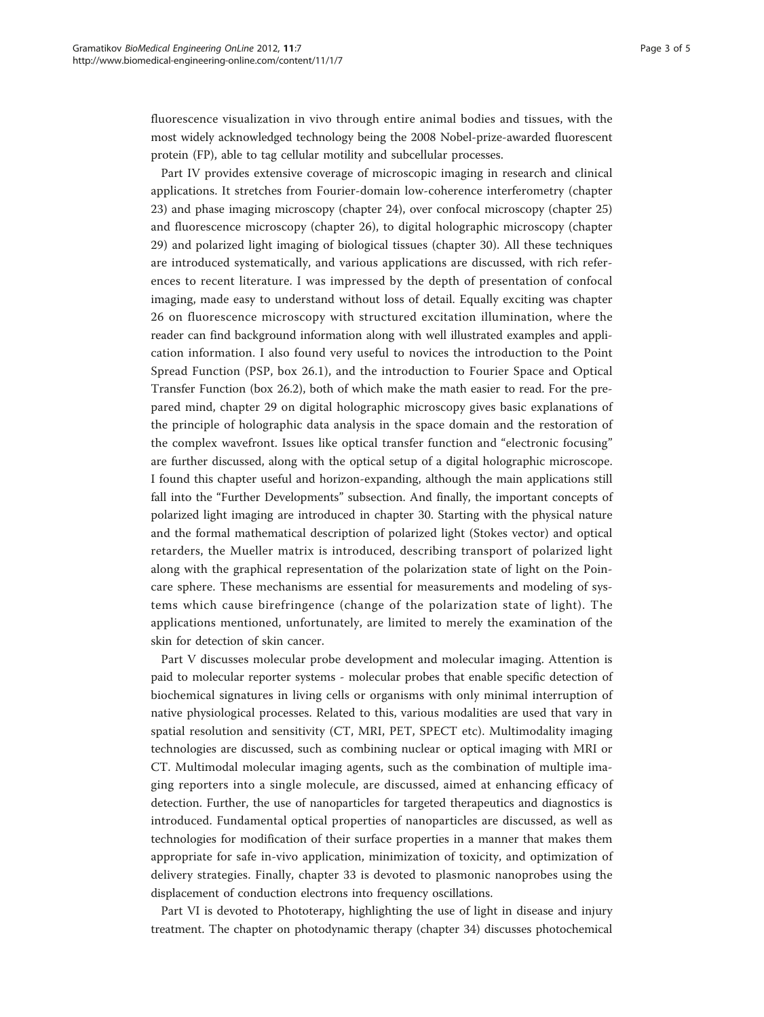fluorescence visualization in vivo through entire animal bodies and tissues, with the most widely acknowledged technology being the 2008 Nobel-prize-awarded fluorescent protein (FP), able to tag cellular motility and subcellular processes.

Part IV provides extensive coverage of microscopic imaging in research and clinical applications. It stretches from Fourier-domain low-coherence interferometry (chapter 23) and phase imaging microscopy (chapter 24), over confocal microscopy (chapter 25) and fluorescence microscopy (chapter 26), to digital holographic microscopy (chapter 29) and polarized light imaging of biological tissues (chapter 30). All these techniques are introduced systematically, and various applications are discussed, with rich references to recent literature. I was impressed by the depth of presentation of confocal imaging, made easy to understand without loss of detail. Equally exciting was chapter 26 on fluorescence microscopy with structured excitation illumination, where the reader can find background information along with well illustrated examples and application information. I also found very useful to novices the introduction to the Point Spread Function (PSP, box 26.1), and the introduction to Fourier Space and Optical Transfer Function (box 26.2), both of which make the math easier to read. For the prepared mind, chapter 29 on digital holographic microscopy gives basic explanations of the principle of holographic data analysis in the space domain and the restoration of the complex wavefront. Issues like optical transfer function and "electronic focusing" are further discussed, along with the optical setup of a digital holographic microscope. I found this chapter useful and horizon-expanding, although the main applications still fall into the "Further Developments" subsection. And finally, the important concepts of polarized light imaging are introduced in chapter 30. Starting with the physical nature and the formal mathematical description of polarized light (Stokes vector) and optical retarders, the Mueller matrix is introduced, describing transport of polarized light along with the graphical representation of the polarization state of light on the Poincare sphere. These mechanisms are essential for measurements and modeling of systems which cause birefringence (change of the polarization state of light). The applications mentioned, unfortunately, are limited to merely the examination of the skin for detection of skin cancer.

Part V discusses molecular probe development and molecular imaging. Attention is paid to molecular reporter systems - molecular probes that enable specific detection of biochemical signatures in living cells or organisms with only minimal interruption of native physiological processes. Related to this, various modalities are used that vary in spatial resolution and sensitivity (CT, MRI, PET, SPECT etc). Multimodality imaging technologies are discussed, such as combining nuclear or optical imaging with MRI or CT. Multimodal molecular imaging agents, such as the combination of multiple imaging reporters into a single molecule, are discussed, aimed at enhancing efficacy of detection. Further, the use of nanoparticles for targeted therapeutics and diagnostics is introduced. Fundamental optical properties of nanoparticles are discussed, as well as technologies for modification of their surface properties in a manner that makes them appropriate for safe in-vivo application, minimization of toxicity, and optimization of delivery strategies. Finally, chapter 33 is devoted to plasmonic nanoprobes using the displacement of conduction electrons into frequency oscillations.

Part VI is devoted to Phototerapy, highlighting the use of light in disease and injury treatment. The chapter on photodynamic therapy (chapter 34) discusses photochemical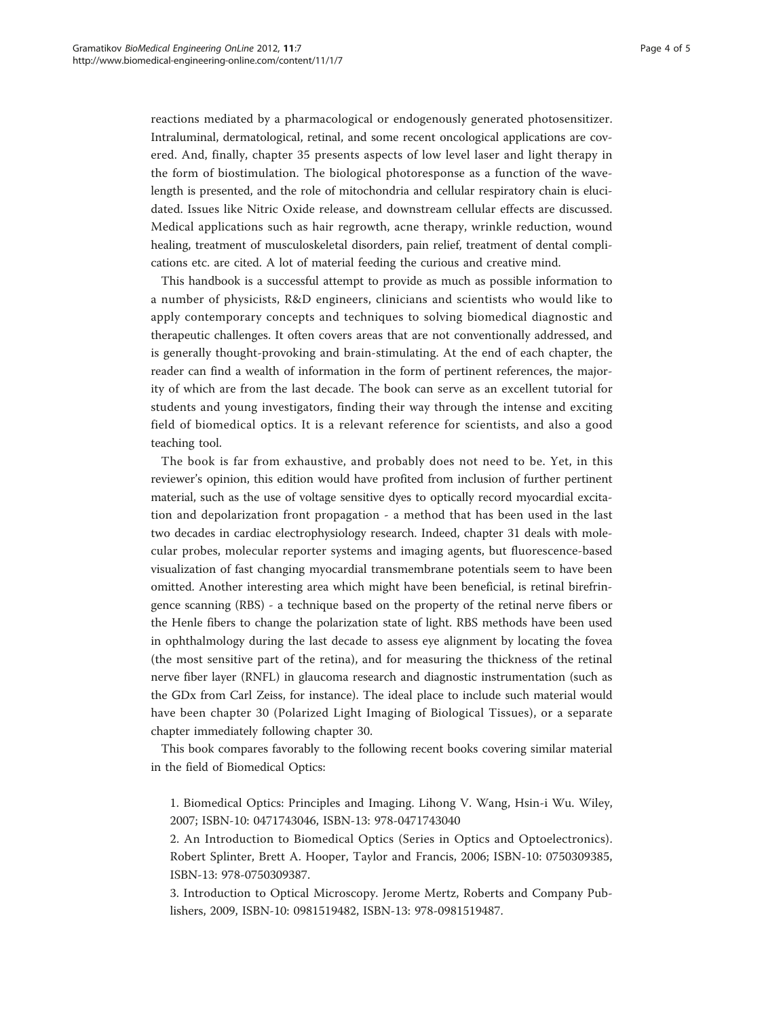reactions mediated by a pharmacological or endogenously generated photosensitizer. Intraluminal, dermatological, retinal, and some recent oncological applications are covered. And, finally, chapter 35 presents aspects of low level laser and light therapy in the form of biostimulation. The biological photoresponse as a function of the wavelength is presented, and the role of mitochondria and cellular respiratory chain is elucidated. Issues like Nitric Oxide release, and downstream cellular effects are discussed. Medical applications such as hair regrowth, acne therapy, wrinkle reduction, wound healing, treatment of musculoskeletal disorders, pain relief, treatment of dental complications etc. are cited. A lot of material feeding the curious and creative mind.

This handbook is a successful attempt to provide as much as possible information to a number of physicists, R&D engineers, clinicians and scientists who would like to apply contemporary concepts and techniques to solving biomedical diagnostic and therapeutic challenges. It often covers areas that are not conventionally addressed, and is generally thought-provoking and brain-stimulating. At the end of each chapter, the reader can find a wealth of information in the form of pertinent references, the majority of which are from the last decade. The book can serve as an excellent tutorial for students and young investigators, finding their way through the intense and exciting field of biomedical optics. It is a relevant reference for scientists, and also a good teaching tool.

The book is far from exhaustive, and probably does not need to be. Yet, in this reviewer's opinion, this edition would have profited from inclusion of further pertinent material, such as the use of voltage sensitive dyes to optically record myocardial excitation and depolarization front propagation - a method that has been used in the last two decades in cardiac electrophysiology research. Indeed, chapter 31 deals with molecular probes, molecular reporter systems and imaging agents, but fluorescence-based visualization of fast changing myocardial transmembrane potentials seem to have been omitted. Another interesting area which might have been beneficial, is retinal birefringence scanning (RBS) - a technique based on the property of the retinal nerve fibers or the Henle fibers to change the polarization state of light. RBS methods have been used in ophthalmology during the last decade to assess eye alignment by locating the fovea (the most sensitive part of the retina), and for measuring the thickness of the retinal nerve fiber layer (RNFL) in glaucoma research and diagnostic instrumentation (such as the GDx from Carl Zeiss, for instance). The ideal place to include such material would have been chapter 30 (Polarized Light Imaging of Biological Tissues), or a separate chapter immediately following chapter 30.

This book compares favorably to the following recent books covering similar material in the field of Biomedical Optics:

1. Biomedical Optics: Principles and Imaging. Lihong V. Wang, Hsin-i Wu. Wiley, 2007; ISBN-10: 0471743046, ISBN-13: 978-0471743040

2. An Introduction to Biomedical Optics (Series in Optics and Optoelectronics). Robert Splinter, Brett A. Hooper, Taylor and Francis, 2006; ISBN-10: 0750309385, ISBN-13: 978-0750309387.

3. Introduction to Optical Microscopy. Jerome Mertz, Roberts and Company Publishers, 2009, ISBN-10: 0981519482, ISBN-13: 978-0981519487.